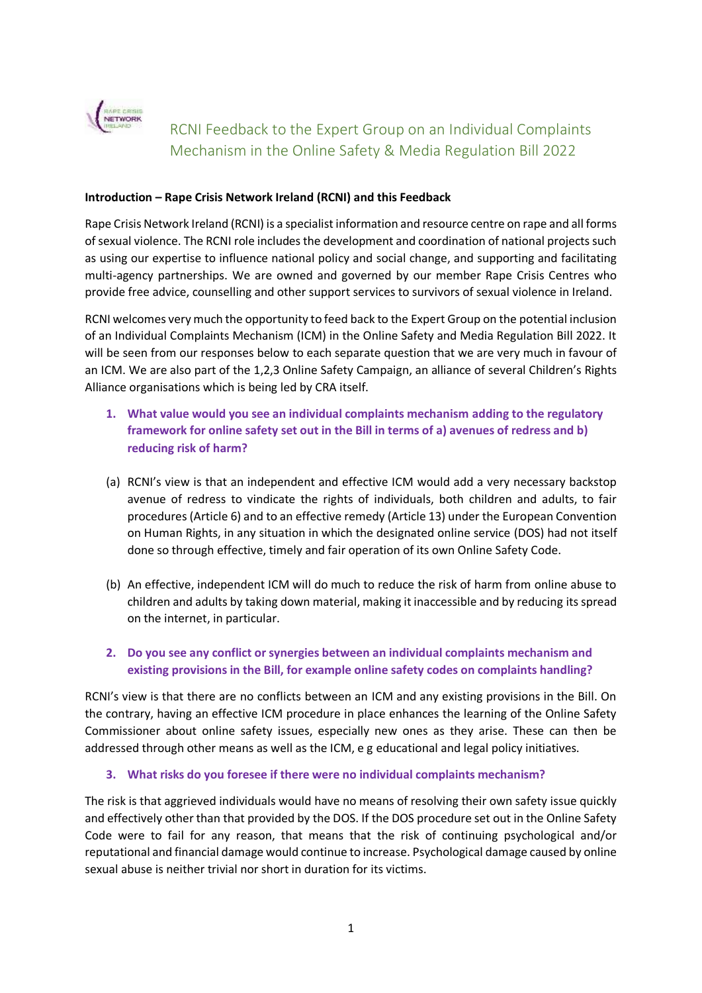

# RCNI Feedback to the Expert Group on an Individual Complaints Mechanism in the Online Safety & Media Regulation Bill 2022

#### **Introduction – Rape Crisis Network Ireland (RCNI) and this Feedback**

Rape Crisis Network Ireland (RCNI) is a specialist information and resource centre on rape and all forms of sexual violence. The RCNI role includes the development and coordination of national projects such as using our expertise to influence national policy and social change, and supporting and facilitating multi-agency partnerships. We are owned and governed by our member Rape Crisis Centres who provide free advice, counselling and other support services to survivors of sexual violence in Ireland.

RCNI welcomes very much the opportunity to feed back to the Expert Group on the potential inclusion of an Individual Complaints Mechanism (ICM) in the Online Safety and Media Regulation Bill 2022. It will be seen from our responses below to each separate question that we are very much in favour of an ICM. We are also part of the 1,2,3 Online Safety Campaign, an alliance of several Children's Rights Alliance organisations which is being led by CRA itself.

- **1. What value would you see an individual complaints mechanism adding to the regulatory framework for online safety set out in the Bill in terms of a) avenues of redress and b) reducing risk of harm?**
- (a) RCNI's view is that an independent and effective ICM would add a very necessary backstop avenue of redress to vindicate the rights of individuals, both children and adults, to fair procedures (Article 6) and to an effective remedy (Article 13) under the European Convention on Human Rights, in any situation in which the designated online service (DOS) had not itself done so through effective, timely and fair operation of its own Online Safety Code.
- (b) An effective, independent ICM will do much to reduce the risk of harm from online abuse to children and adults by taking down material, making it inaccessible and by reducing its spread on the internet, in particular.
- **2. Do you see any conflict or synergies between an individual complaints mechanism and existing provisions in the Bill, for example online safety codes on complaints handling?**

RCNI's view is that there are no conflicts between an ICM and any existing provisions in the Bill. On the contrary, having an effective ICM procedure in place enhances the learning of the Online Safety Commissioner about online safety issues, especially new ones as they arise. These can then be addressed through other means as well as the ICM, e g educational and legal policy initiatives.

#### **3. What risks do you foresee if there were no individual complaints mechanism?**

The risk is that aggrieved individuals would have no means of resolving their own safety issue quickly and effectively other than that provided by the DOS. If the DOS procedure set out in the Online Safety Code were to fail for any reason, that means that the risk of continuing psychological and/or reputational and financial damage would continue to increase. Psychological damage caused by online sexual abuse is neither trivial nor short in duration for its victims.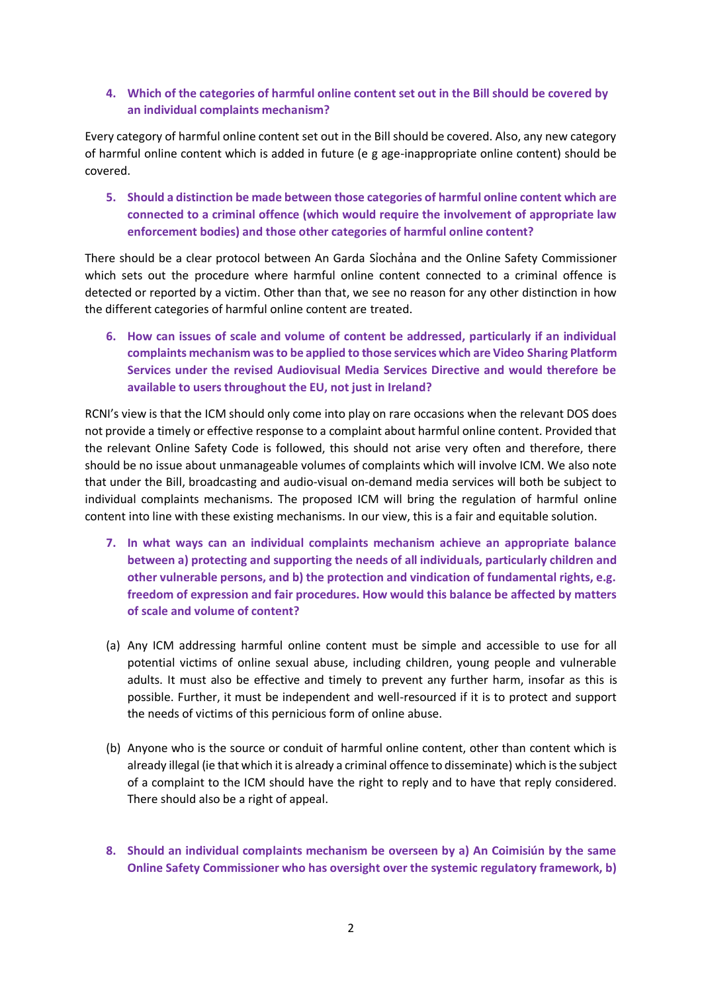### **4. Which of the categories of harmful online content set out in the Bill should be covered by an individual complaints mechanism?**

Every category of harmful online content set out in the Bill should be covered. Also, any new category of harmful online content which is added in future (e g age-inappropriate online content) should be covered.

**5. Should a distinction be made between those categories of harmful online content which are connected to a criminal offence (which would require the involvement of appropriate law enforcement bodies) and those other categories of harmful online content?**

There should be a clear protocol between An Garda Sỉochảna and the Online Safety Commissioner which sets out the procedure where harmful online content connected to a criminal offence is detected or reported by a victim. Other than that, we see no reason for any other distinction in how the different categories of harmful online content are treated.

**6. How can issues of scale and volume of content be addressed, particularly if an individual complaints mechanism was to be applied to those services which are Video Sharing Platform Services under the revised Audiovisual Media Services Directive and would therefore be available to users throughout the EU, not just in Ireland?**

RCNI's view is that the ICM should only come into play on rare occasions when the relevant DOS does not provide a timely or effective response to a complaint about harmful online content. Provided that the relevant Online Safety Code is followed, this should not arise very often and therefore, there should be no issue about unmanageable volumes of complaints which will involve ICM. We also note that under the Bill, broadcasting and audio-visual on-demand media services will both be subject to individual complaints mechanisms. The proposed ICM will bring the regulation of harmful online content into line with these existing mechanisms. In our view, this is a fair and equitable solution.

- **7. In what ways can an individual complaints mechanism achieve an appropriate balance between a) protecting and supporting the needs of all individuals, particularly children and other vulnerable persons, and b) the protection and vindication of fundamental rights, e.g. freedom of expression and fair procedures. How would this balance be affected by matters of scale and volume of content?**
- (a) Any ICM addressing harmful online content must be simple and accessible to use for all potential victims of online sexual abuse, including children, young people and vulnerable adults. It must also be effective and timely to prevent any further harm, insofar as this is possible. Further, it must be independent and well-resourced if it is to protect and support the needs of victims of this pernicious form of online abuse.
- (b) Anyone who is the source or conduit of harmful online content, other than content which is already illegal (ie that which it is already a criminal offence to disseminate) which is the subject of a complaint to the ICM should have the right to reply and to have that reply considered. There should also be a right of appeal.
- **8. Should an individual complaints mechanism be overseen by a) An Coimisiún by the same Online Safety Commissioner who has oversight over the systemic regulatory framework, b)**